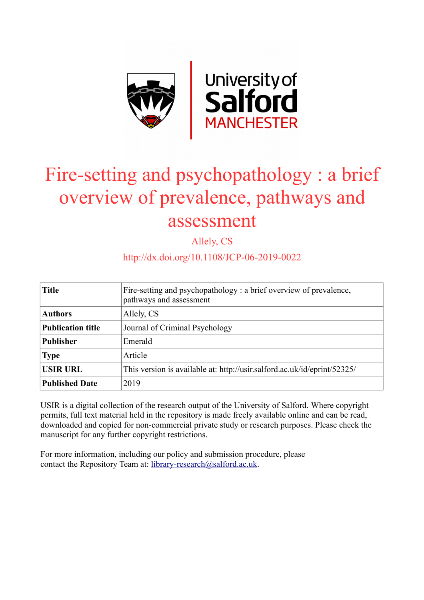

# Fire-setting and psychopathology : a brief overview of prevalence, pathways and assessment

Allely, CS

http://dx.doi.org/10.1108/JCP-06-2019-0022

| <b>Title</b>             | Fire-setting and psychopathology: a brief overview of prevalence,<br>pathways and assessment |
|--------------------------|----------------------------------------------------------------------------------------------|
| <b>Authors</b>           | Allely, CS                                                                                   |
| <b>Publication title</b> | Journal of Criminal Psychology                                                               |
| <b>Publisher</b>         | Emerald                                                                                      |
| <b>Type</b>              | Article                                                                                      |
| <b>USIR URL</b>          | This version is available at: http://usir.salford.ac.uk/id/eprint/52325/                     |
| <b>Published Date</b>    | 2019                                                                                         |

USIR is a digital collection of the research output of the University of Salford. Where copyright permits, full text material held in the repository is made freely available online and can be read, downloaded and copied for non-commercial private study or research purposes. Please check the manuscript for any further copyright restrictions.

For more information, including our policy and submission procedure, please contact the Repository Team at: [library-research@salford.ac.uk.](mailto:library-research@salford.ac.uk)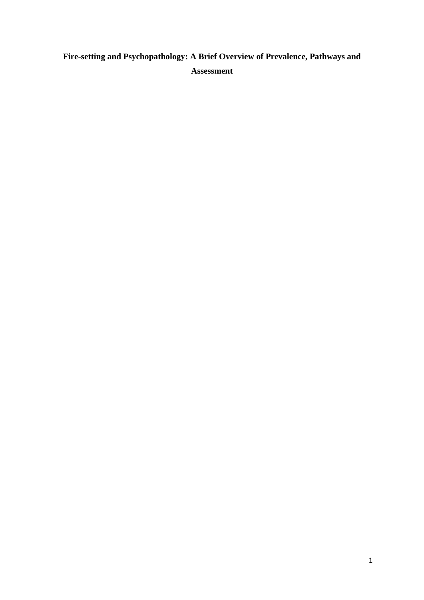## **Fire-setting and Psychopathology: A Brief Overview of Prevalence, Pathways and Assessment**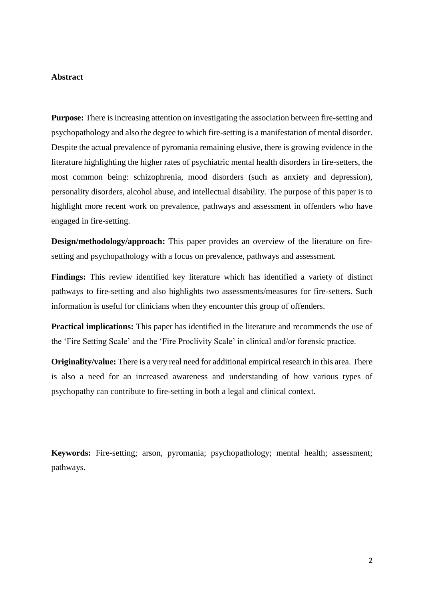#### **Abstract**

**Purpose:** There is increasing attention on investigating the association between fire-setting and psychopathology and also the degree to which fire-setting is a manifestation of mental disorder. Despite the actual prevalence of pyromania remaining elusive, there is growing evidence in the literature highlighting the higher rates of psychiatric mental health disorders in fire-setters, the most common being: schizophrenia, mood disorders (such as anxiety and depression), personality disorders, alcohol abuse, and intellectual disability. The purpose of this paper is to highlight more recent work on prevalence, pathways and assessment in offenders who have engaged in fire-setting.

**Design/methodology/approach:** This paper provides an overview of the literature on firesetting and psychopathology with a focus on prevalence, pathways and assessment.

**Findings:** This review identified key literature which has identified a variety of distinct pathways to fire-setting and also highlights two assessments/measures for fire-setters. Such information is useful for clinicians when they encounter this group of offenders.

**Practical implications:** This paper has identified in the literature and recommends the use of the 'Fire Setting Scale' and the 'Fire Proclivity Scale' in clinical and/or forensic practice.

**Originality/value:** There is a very real need for additional empirical research in this area. There is also a need for an increased awareness and understanding of how various types of psychopathy can contribute to fire-setting in both a legal and clinical context.

**Keywords:** Fire-setting; arson, pyromania; psychopathology; mental health; assessment; pathways.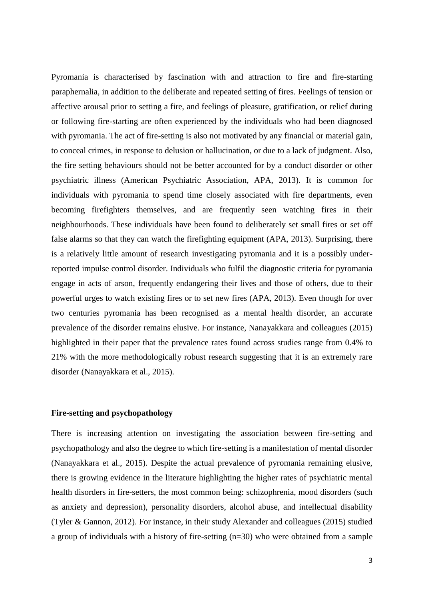Pyromania is characterised by fascination with and attraction to fire and fire-starting paraphernalia, in addition to the deliberate and repeated setting of fires. Feelings of tension or affective arousal prior to setting a fire, and feelings of pleasure, gratification, or relief during or following fire-starting are often experienced by the individuals who had been diagnosed with pyromania. The act of fire-setting is also not motivated by any financial or material gain, to conceal crimes, in response to delusion or hallucination, or due to a lack of judgment. Also, the fire setting behaviours should not be better accounted for by a conduct disorder or other psychiatric illness (American Psychiatric Association, APA, 2013). It is common for individuals with pyromania to spend time closely associated with fire departments, even becoming firefighters themselves, and are frequently seen watching fires in their neighbourhoods. These individuals have been found to deliberately set small fires or set off false alarms so that they can watch the firefighting equipment (APA, 2013). Surprising, there is a relatively little amount of research investigating pyromania and it is a possibly underreported impulse control disorder. Individuals who fulfil the diagnostic criteria for pyromania engage in acts of arson, frequently endangering their lives and those of others, due to their powerful urges to watch existing fires or to set new fires (APA, 2013). Even though for over two centuries pyromania has been recognised as a mental health disorder, an accurate prevalence of the disorder remains elusive. For instance, Nanayakkara and colleagues (2015) highlighted in their paper that the prevalence rates found across studies range from 0.4% to 21% with the more methodologically robust research suggesting that it is an extremely rare disorder (Nanayakkara et al., 2015).

#### **Fire-setting and psychopathology**

There is increasing attention on investigating the association between fire-setting and psychopathology and also the degree to which fire-setting is a manifestation of mental disorder (Nanayakkara et al., 2015). Despite the actual prevalence of pyromania remaining elusive, there is growing evidence in the literature highlighting the higher rates of psychiatric mental health disorders in fire-setters, the most common being: schizophrenia, mood disorders (such as anxiety and depression), personality disorders, alcohol abuse, and intellectual disability (Tyler & Gannon, 2012). For instance, in their study Alexander and colleagues (2015) studied a group of individuals with a history of fire-setting (n=30) who were obtained from a sample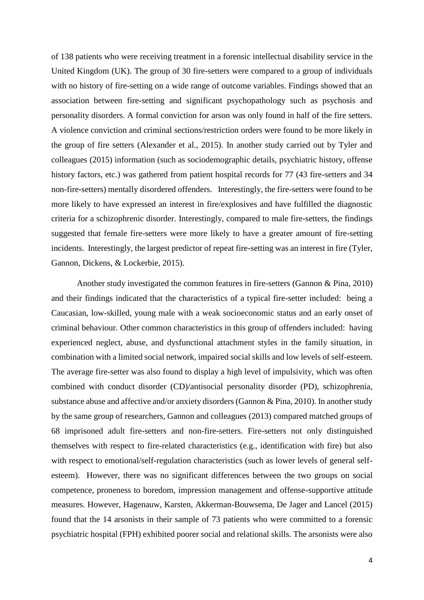of 138 patients who were receiving treatment in a forensic intellectual disability service in the United Kingdom (UK). The group of 30 fire-setters were compared to a group of individuals with no history of fire-setting on a wide range of outcome variables. Findings showed that an association between fire-setting and significant psychopathology such as psychosis and personality disorders. A formal conviction for arson was only found in half of the fire setters. A violence conviction and criminal sections/restriction orders were found to be more likely in the group of fire setters (Alexander et al., 2015). In another study carried out by Tyler and colleagues (2015) information (such as sociodemographic details, psychiatric history, offense history factors, etc.) was gathered from patient hospital records for 77 (43 fire-setters and 34 non-fire-setters) mentally disordered offenders. Interestingly, the fire-setters were found to be more likely to have expressed an interest in fire/explosives and have fulfilled the diagnostic criteria for a schizophrenic disorder. Interestingly, compared to male fire-setters, the findings suggested that female fire-setters were more likely to have a greater amount of fire-setting incidents. Interestingly, the largest predictor of repeat fire-setting was an interest in fire (Tyler, Gannon, Dickens, & Lockerbie, 2015).

Another study investigated the common features in fire-setters (Gannon & Pina, 2010) and their findings indicated that the characteristics of a typical fire-setter included: being a Caucasian, low-skilled, young male with a weak socioeconomic status and an early onset of criminal behaviour. Other common characteristics in this group of offenders included: having experienced neglect, abuse, and dysfunctional attachment styles in the family situation, in combination with a limited social network, impaired social skills and low levels of self-esteem. The average fire-setter was also found to display a high level of impulsivity, which was often combined with conduct disorder (CD)/antisocial personality disorder (PD), schizophrenia, substance abuse and affective and/or anxiety disorders (Gannon & Pina, 2010). In another study by the same group of researchers, Gannon and colleagues (2013) compared matched groups of 68 imprisoned adult fire-setters and non-fire-setters. Fire-setters not only distinguished themselves with respect to fire-related characteristics (e.g., identification with fire) but also with respect to emotional/self-regulation characteristics (such as lower levels of general selfesteem). However, there was no significant differences between the two groups on social competence, proneness to boredom, impression management and offense-supportive attitude measures. However, Hagenauw, Karsten, Akkerman-Bouwsema, De Jager and Lancel (2015) found that the 14 arsonists in their sample of 73 patients who were committed to a forensic psychiatric hospital (FPH) exhibited poorer social and relational skills. The arsonists were also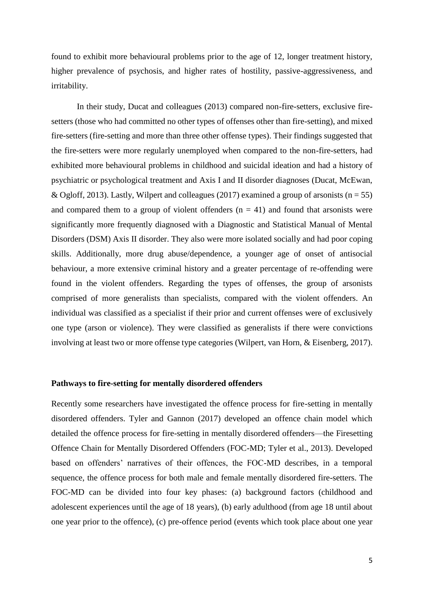found to exhibit more behavioural problems prior to the age of 12, longer treatment history, higher prevalence of psychosis, and higher rates of hostility, passive-aggressiveness, and irritability.

In their study, Ducat and colleagues (2013) compared non-fire-setters, exclusive firesetters (those who had committed no other types of offenses other than fire-setting), and mixed fire-setters (fire-setting and more than three other offense types). Their findings suggested that the fire-setters were more regularly unemployed when compared to the non-fire-setters, had exhibited more behavioural problems in childhood and suicidal ideation and had a history of psychiatric or psychological treatment and Axis I and II disorder diagnoses (Ducat, McEwan, & Ogloff, 2013). Lastly, Wilpert and colleagues (2017) examined a group of arsonists ( $n = 55$ ) and compared them to a group of violent offenders  $(n = 41)$  and found that arsonists were significantly more frequently diagnosed with a Diagnostic and Statistical Manual of Mental Disorders (DSM) Axis II disorder. They also were more isolated socially and had poor coping skills. Additionally, more drug abuse/dependence, a younger age of onset of antisocial behaviour, a more extensive criminal history and a greater percentage of re-offending were found in the violent offenders. Regarding the types of offenses, the group of arsonists comprised of more generalists than specialists, compared with the violent offenders. An individual was classified as a specialist if their prior and current offenses were of exclusively one type (arson or violence). They were classified as generalists if there were convictions involving at least two or more offense type categories (Wilpert, van Horn, & Eisenberg, 2017).

#### **Pathways to fire-setting for mentally disordered offenders**

Recently some researchers have investigated the offence process for fire-setting in mentally disordered offenders. Tyler and Gannon (2017) developed an offence chain model which detailed the offence process for fire-setting in mentally disordered offenders—the Firesetting Offence Chain for Mentally Disordered Offenders (FOC-MD; Tyler et al., 2013). Developed based on offenders' narratives of their offences, the FOC-MD describes, in a temporal sequence, the offence process for both male and female mentally disordered fire-setters. The FOC-MD can be divided into four key phases: (a) background factors (childhood and adolescent experiences until the age of 18 years), (b) early adulthood (from age 18 until about one year prior to the offence), (c) pre-offence period (events which took place about one year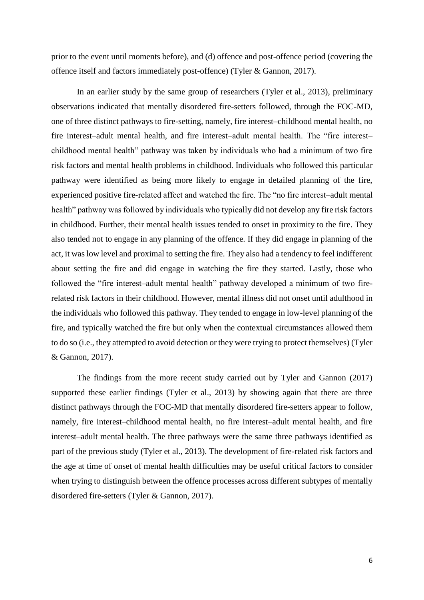prior to the event until moments before), and (d) offence and post-offence period (covering the offence itself and factors immediately post-offence) (Tyler & Gannon, 2017).

In an earlier study by the same group of researchers (Tyler et al., 2013), preliminary observations indicated that mentally disordered fire-setters followed, through the FOC-MD, one of three distinct pathways to fire-setting, namely, fire interest–childhood mental health, no fire interest–adult mental health, and fire interest–adult mental health. The "fire interest– childhood mental health" pathway was taken by individuals who had a minimum of two fire risk factors and mental health problems in childhood. Individuals who followed this particular pathway were identified as being more likely to engage in detailed planning of the fire, experienced positive fire-related affect and watched the fire. The "no fire interest–adult mental health" pathway was followed by individuals who typically did not develop any fire risk factors in childhood. Further, their mental health issues tended to onset in proximity to the fire. They also tended not to engage in any planning of the offence. If they did engage in planning of the act, it was low level and proximal to setting the fire. They also had a tendency to feel indifferent about setting the fire and did engage in watching the fire they started. Lastly, those who followed the "fire interest–adult mental health" pathway developed a minimum of two firerelated risk factors in their childhood. However, mental illness did not onset until adulthood in the individuals who followed this pathway. They tended to engage in low-level planning of the fire, and typically watched the fire but only when the contextual circumstances allowed them to do so (i.e., they attempted to avoid detection or they were trying to protect themselves) (Tyler & Gannon, 2017).

The findings from the more recent study carried out by Tyler and Gannon (2017) supported these earlier findings (Tyler et al., 2013) by showing again that there are three distinct pathways through the FOC-MD that mentally disordered fire-setters appear to follow, namely, fire interest–childhood mental health, no fire interest–adult mental health, and fire interest–adult mental health. The three pathways were the same three pathways identified as part of the previous study (Tyler et al., 2013). The development of fire-related risk factors and the age at time of onset of mental health difficulties may be useful critical factors to consider when trying to distinguish between the offence processes across different subtypes of mentally disordered fire-setters (Tyler & Gannon, 2017).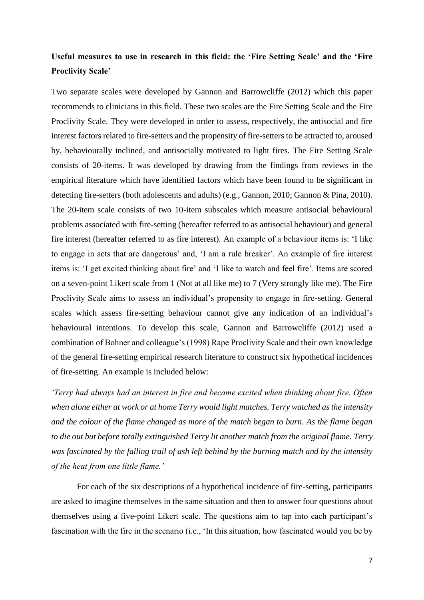### **Useful measures to use in research in this field: the 'Fire Setting Scale' and the 'Fire Proclivity Scale'**

Two separate scales were developed by Gannon and Barrowcliffe (2012) which this paper recommends to clinicians in this field. These two scales are the Fire Setting Scale and the Fire Proclivity Scale. They were developed in order to assess, respectively, the antisocial and fire interest factors related to fire-setters and the propensity of fire-setters to be attracted to, aroused by, behaviourally inclined, and antisocially motivated to light fires. The Fire Setting Scale consists of 20-items. It was developed by drawing from the findings from reviews in the empirical literature which have identified factors which have been found to be significant in detecting fire-setters (both adolescents and adults) (e.g., Gannon, 2010; Gannon & Pina, 2010). The 20-item scale consists of two 10-item subscales which measure antisocial behavioural problems associated with fire-setting (hereafter referred to as antisocial behaviour) and general fire interest (hereafter referred to as fire interest). An example of a behaviour items is: 'I like to engage in acts that are dangerous' and, 'I am a rule breaker'. An example of fire interest items is: 'I get excited thinking about fire' and 'I like to watch and feel fire'. Items are scored on a seven-point Likert scale from 1 (Not at all like me) to 7 (Very strongly like me). The Fire Proclivity Scale aims to assess an individual's propensity to engage in fire-setting. General scales which assess fire-setting behaviour cannot give any indication of an individual's behavioural intentions. To develop this scale, Gannon and Barrowcliffe (2012) used a combination of Bohner and colleague's (1998) Rape Proclivity Scale and their own knowledge of the general fire-setting empirical research literature to construct six hypothetical incidences of fire-setting. An example is included below:

*'Terry had always had an interest in fire and became excited when thinking about fire. Often when alone either at work or at home Terry would light matches. Terry watched as the intensity and the colour of the flame changed as more of the match began to burn. As the flame began to die out but before totally extinguished Terry lit another match from the original flame. Terry was fascinated by the falling trail of ash left behind by the burning match and by the intensity of the heat from one little flame.'*

For each of the six descriptions of a hypothetical incidence of fire-setting, participants are asked to imagine themselves in the same situation and then to answer four questions about themselves using a five-point Likert scale. The questions aim to tap into each participant's fascination with the fire in the scenario (i.e., 'In this situation, how fascinated would you be by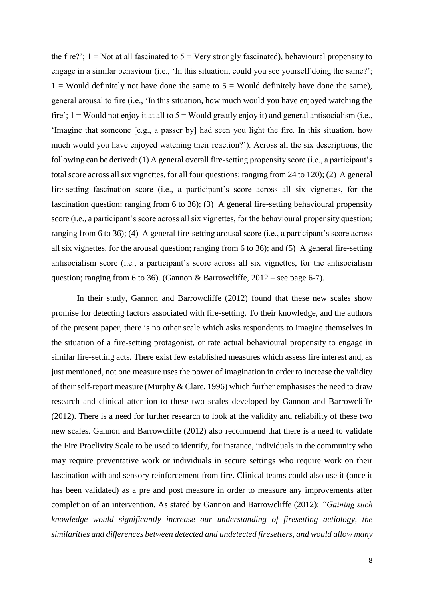the fire?';  $1 = Not$  at all fascinated to  $5 = Very$  strongly fascinated), behavioural propensity to engage in a similar behaviour (i.e., 'In this situation, could you see yourself doing the same?';  $1 =$  Would definitely not have done the same to  $5 =$  Would definitely have done the same), general arousal to fire (i.e., 'In this situation, how much would you have enjoyed watching the fire';  $1 =$  Would not enjoy it at all to  $5 =$  Would greatly enjoy it) and general antisocialism (i.e., 'Imagine that someone [e.g., a passer by] had seen you light the fire. In this situation, how much would you have enjoyed watching their reaction?'). Across all the six descriptions, the following can be derived: (1) A general overall fire-setting propensity score (i.e., a participant's total score across all six vignettes, for all four questions; ranging from 24 to 120); (2) A general fire-setting fascination score (i.e., a participant's score across all six vignettes, for the fascination question; ranging from 6 to 36); (3) A general fire-setting behavioural propensity score (i.e., a participant's score across all six vignettes, for the behavioural propensity question; ranging from 6 to 36); (4) A general fire-setting arousal score (i.e., a participant's score across all six vignettes, for the arousal question; ranging from 6 to 36); and (5) A general fire-setting antisocialism score (i.e., a participant's score across all six vignettes, for the antisocialism question; ranging from 6 to 36). (Gannon & Barrowcliffe,  $2012$  – see page 6-7).

In their study, Gannon and Barrowcliffe (2012) found that these new scales show promise for detecting factors associated with fire-setting. To their knowledge, and the authors of the present paper, there is no other scale which asks respondents to imagine themselves in the situation of a fire-setting protagonist, or rate actual behavioural propensity to engage in similar fire-setting acts. There exist few established measures which assess fire interest and, as just mentioned, not one measure uses the power of imagination in order to increase the validity of their self-report measure (Murphy & Clare, 1996) which further emphasises the need to draw research and clinical attention to these two scales developed by Gannon and Barrowcliffe (2012). There is a need for further research to look at the validity and reliability of these two new scales. Gannon and Barrowcliffe (2012) also recommend that there is a need to validate the Fire Proclivity Scale to be used to identify, for instance, individuals in the community who may require preventative work or individuals in secure settings who require work on their fascination with and sensory reinforcement from fire. Clinical teams could also use it (once it has been validated) as a pre and post measure in order to measure any improvements after completion of an intervention. As stated by Gannon and Barrowcliffe (2012): *"Gaining such knowledge would significantly increase our understanding of firesetting aetiology, the similarities and differences between detected and undetected firesetters, and would allow many*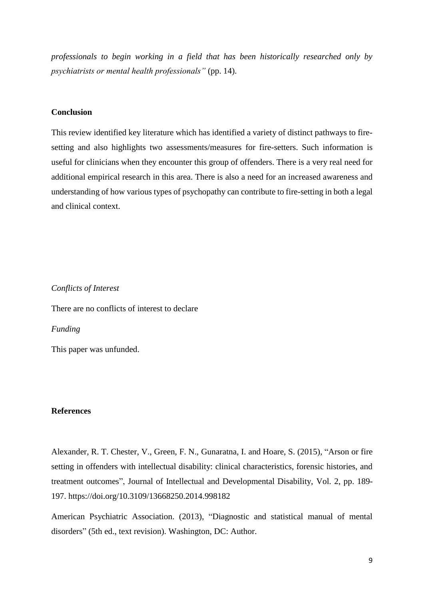*professionals to begin working in a field that has been historically researched only by psychiatrists or mental health professionals"* (pp. 14).

#### **Conclusion**

This review identified key literature which has identified a variety of distinct pathways to firesetting and also highlights two assessments/measures for fire-setters. Such information is useful for clinicians when they encounter this group of offenders. There is a very real need for additional empirical research in this area. There is also a need for an increased awareness and understanding of how various types of psychopathy can contribute to fire-setting in both a legal and clinical context.

*Conflicts of Interest* There are no conflicts of interest to declare *Funding* This paper was unfunded.

#### **References**

Alexander, R. T. Chester, V., Green, F. N., Gunaratna, I. and Hoare, S. (2015), "Arson or fire setting in offenders with intellectual disability: clinical characteristics, forensic histories, and treatment outcomes", Journal of Intellectual and Developmental Disability, Vol. 2, pp. 189- 197. https://doi.org/10.3109/13668250.2014.998182

American Psychiatric Association. (2013), "Diagnostic and statistical manual of mental disorders" (5th ed., text revision). Washington, DC: Author.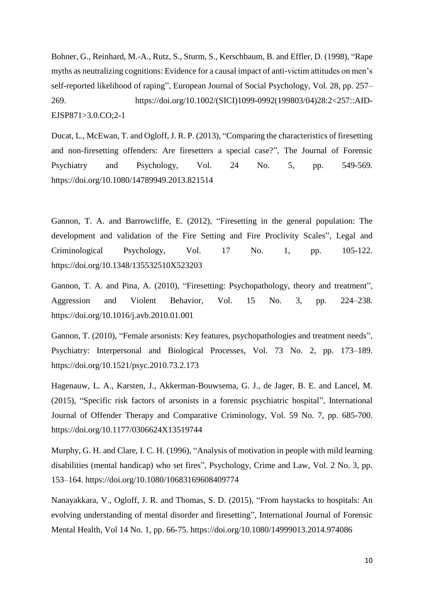Bohner, G., Reinhard, M.-A., Rutz, S., Sturm, S., Kerschbaum, B. and Effler, D. (1998), "Rape myths as neutralizing cognitions: Evidence for a causal impact of anti-victim attitudes on men's self-reported likelihood of raping", European Journal of Social Psychology, Vol. 28, pp. 257– 269. https://doi.org/10.1002/(SICI)1099-0992(199803/04)28:2<257::AID-EJSP871>3.0.CO;2-1

Ducat, L., McEwan, T. and Ogloff, J. R. P. (2013), "Comparing the characteristics of firesetting and non-firesetting offenders: Are firesetters a special case?", The Journal of Forensic Psychiatry and Psychology, Vol. 24 No. 5, pp. 549-569. https://doi.org/10.1080/14789949.2013.821514

Gannon, T. A. and Barrowcliffe, E. (2012), "Firesetting in the general population: The development and validation of the Fire Setting and Fire Proclivity Scales", Legal and Criminological Psychology, Vol. 17 No. 1, pp. 105-122. https://doi.org/10.1348/135532510X523203

Gannon, T. A. and Pina, A. (2010), "Firesetting: Psychopathology, theory and treatment", Aggression and Violent Behavior, Vol. 15 No. 3, pp. 224–238. https://doi.org/10.1016/j.avb.2010.01.001

Gannon, T. (2010), "Female arsonists: Key features, psychopathologies and treatment needs", Psychiatry: Interpersonal and Biological Processes, Vol. 73 No. 2, pp. 173–189. https://doi.org/10.1521/psyc.2010.73.2.173

Hagenauw, L. A., Karsten, J., Akkerman-Bouwsema, G. J., de Jager, B. E. and Lancel, M. (2015), "Specific risk factors of arsonists in a forensic psychiatric hospital", International Journal of Offender Therapy and Comparative Criminology, Vol. 59 No. 7, pp. 685-700. https://doi.org/10.1177/0306624X13519744

Murphy, G. H. and Clare, I. C. H. (1996), "Analysis of motivation in people with mild learning disabilities (mental handicap) who set fires", Psychology, Crime and Law, Vol. 2 No. 3, pp. 153–164. https://doi.org/10.1080/10683169608409774

Nanayakkara, V., Ogloff, J. R. and Thomas, S. D. (2015), "From haystacks to hospitals: An evolving understanding of mental disorder and firesetting", International Journal of Forensic Mental Health, Vol 14 No. 1, pp. 66-75. https://doi.org/10.1080/14999013.2014.974086